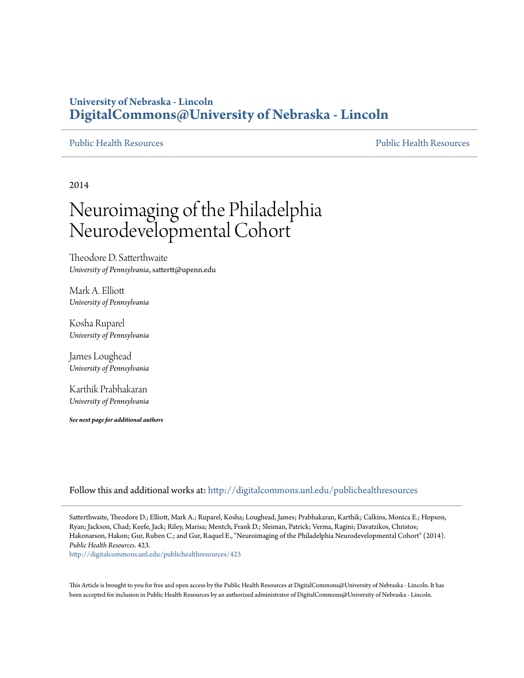### **University of Nebraska - Lincoln [DigitalCommons@University of Nebraska - Lincoln](http://digitalcommons.unl.edu?utm_source=digitalcommons.unl.edu%2Fpublichealthresources%2F423&utm_medium=PDF&utm_campaign=PDFCoverPages)**

[Public Health Resources](http://digitalcommons.unl.edu/publichealthresources?utm_source=digitalcommons.unl.edu%2Fpublichealthresources%2F423&utm_medium=PDF&utm_campaign=PDFCoverPages) [Public Health Resources](http://digitalcommons.unl.edu/publichealth?utm_source=digitalcommons.unl.edu%2Fpublichealthresources%2F423&utm_medium=PDF&utm_campaign=PDFCoverPages)

2014

# Neuroimaging of the Philadelphia Neurodevelopmental Cohort

Theodore D. Satterthwaite *University of Pennsylvania*, sattertt@upenn.edu

Mark A. Elliott *University of Pennsylvania*

Kosha Ruparel *University of Pennsylvania*

James Loughead *University of Pennsylvania*

Karthik Prabhakaran *University of Pennsylvania*

*See next page for additional authors*

Follow this and additional works at: [http://digitalcommons.unl.edu/publichealthresources](http://digitalcommons.unl.edu/publichealthresources?utm_source=digitalcommons.unl.edu%2Fpublichealthresources%2F423&utm_medium=PDF&utm_campaign=PDFCoverPages)

Satterthwaite, Theodore D.; Elliott, Mark A.; Ruparel, Kosha; Loughead, James; Prabhakaran, Karthik; Calkins, Monica E.; Hopson, Ryan; Jackson, Chad; Keefe, Jack; Riley, Marisa; Mentch, Frank D.; Sleiman, Patrick; Verma, Ragini; Davatzikos, Christos; Hakonarson, Hakon; Gur, Ruben C.; and Gur, Raquel E., "Neuroimaging of the Philadelphia Neurodevelopmental Cohort" (2014). *Public Health Resources*. 423.

[http://digitalcommons.unl.edu/publichealthresources/423](http://digitalcommons.unl.edu/publichealthresources/423?utm_source=digitalcommons.unl.edu%2Fpublichealthresources%2F423&utm_medium=PDF&utm_campaign=PDFCoverPages)

This Article is brought to you for free and open access by the Public Health Resources at DigitalCommons@University of Nebraska - Lincoln. It has been accepted for inclusion in Public Health Resources by an authorized administrator of DigitalCommons@University of Nebraska - Lincoln.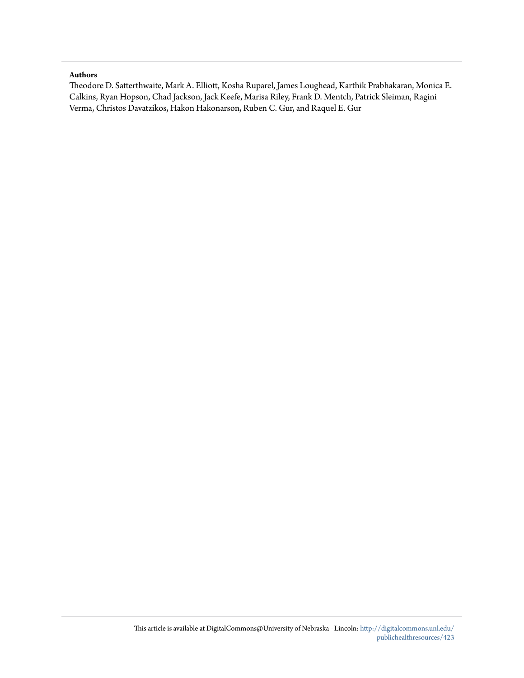### **Authors**

Theodore D. Satterthwaite, Mark A. Elliott, Kosha Ruparel, James Loughead, Karthik Prabhakaran, Monica E. Calkins, Ryan Hopson, Chad Jackson, Jack Keefe, Marisa Riley, Frank D. Mentch, Patrick Sleiman, Ragini Verma, Christos Davatzikos, Hakon Hakonarson, Ruben C. Gur, and Raquel E. Gur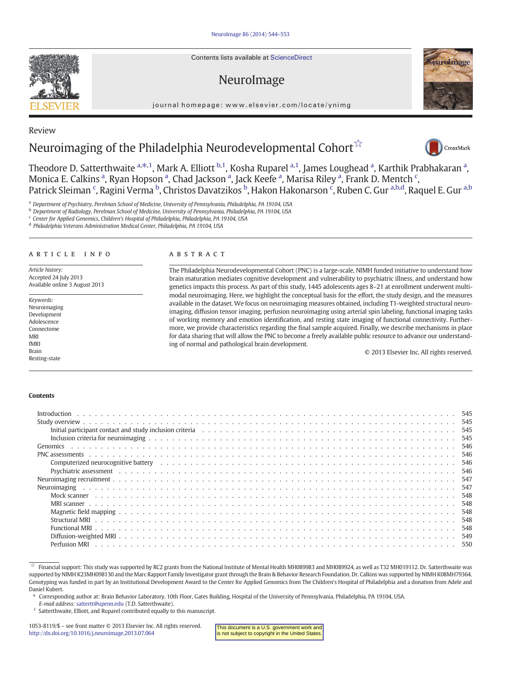Contents lists available at ScienceDirect

## NeuroImage

journal homepage: www.elsevier.com/locate/ynimg



### Review

## Neuroimaging of the Philadelphia Neurodevelopmental Cohort<sup>☆</sup>



Theodore D. Satterthwaite <sup>a, $\ast$ ,1</sup>, Mark A. Elliott <sup>b,1</sup>, Kosha Ruparel <sup>a,1</sup>, James Loughead <sup>a</sup>, Karthik Prabhakaran <sup>a</sup>, Monica E. Calkins <sup>a</sup>, Ryan Hopson <sup>a</sup>, Chad Jackson <sup>a</sup>, Jack Keefe <sup>a</sup>, Marisa Riley <sup>a</sup>, Frank D. Mentch <sup>c</sup>, Patrick Sleiman <sup>c</sup>, Ragini Verma <sup>b</sup>, Christos Davatzikos <sup>b</sup>, Hakon Hakonarson <sup>c</sup>, Ruben C. Gur <sup>a,b,d</sup>, Raquel E. Gur <sup>a,b</sup>

<sup>a</sup> Department of Psychiatry, Perelman School of Medicine, University of Pennsylvania, Philadelphia. PA 19104. USA

b Department of Radiology, Perelman School of Medicine, University of Pennsylvania, Philadelphia, PA 19104, USA

<sup>c</sup> Center for Applied Genomics, Children's Hospital of Philadelphia, Philadelphia, PA 19104, USA

<sup>d</sup> Philadelphia Veterans Administration Medical Center, Philadelphia, PA 19104, USA

#### article info abstract

Article history: Accepted 24 July 2013 Available online 3 August 2013

Keywords: Neuroimaging Development Adolescence Connectome MRI fMRI Brain Resting-state

The Philadelphia Neurodevelopmental Cohort (PNC) is a large-scale, NIMH funded initiative to understand how brain maturation mediates cognitive development and vulnerability to psychiatric illness, and understand how genetics impacts this process. As part of this study, 1445 adolescents ages 8–21 at enrollment underwent multimodal neuroimaging. Here, we highlight the conceptual basis for the effort, the study design, and the measures available in the dataset. We focus on neuroimaging measures obtained, including T1-weighted structural neuroimaging, diffusion tensor imaging, perfusion neuroimaging using arterial spin labeling, functional imaging tasks of working memory and emotion identification, and resting state imaging of functional connectivity. Furthermore, we provide characteristics regarding the final sample acquired. Finally, we describe mechanisms in place for data sharing that will allow the PNC to become a freely available public resource to advance our understanding of normal and pathological brain development.

© 2013 Elsevier Inc. All rights reserved.

#### **Contents**

| Introduction                                                                                                                                                                                                                   |      |
|--------------------------------------------------------------------------------------------------------------------------------------------------------------------------------------------------------------------------------|------|
|                                                                                                                                                                                                                                |      |
|                                                                                                                                                                                                                                | 545  |
|                                                                                                                                                                                                                                | 545  |
|                                                                                                                                                                                                                                | 546  |
|                                                                                                                                                                                                                                | 546  |
| Computerized neurocognitive battery enterpretation of the content of the content of the content of the content of the content of the content of the content of the content of the content of the content of the content of the | 546  |
|                                                                                                                                                                                                                                | 546  |
|                                                                                                                                                                                                                                |      |
|                                                                                                                                                                                                                                |      |
|                                                                                                                                                                                                                                | -548 |
|                                                                                                                                                                                                                                | 548  |
|                                                                                                                                                                                                                                | 548  |
|                                                                                                                                                                                                                                | 548  |
|                                                                                                                                                                                                                                | 548  |
|                                                                                                                                                                                                                                | 549  |
| Perfusion MRI                                                                                                                                                                                                                  | 550  |

 $\overline{x}$  Financial support: This study was supported by RC2 grants from the National Institute of Mental Health MH089983 and MH089924, as well as T32 MH019112. Dr. Satterthwaite was supported by NIMH K23MH098130 and the Marc Rapport Family Investigator grant through the Brain & Behavior Research Foundation. Dr. Calkins was supported by NIMH K08MH79364. Genotyping was funded in part by an Institutional Development Award to the Center for Applied Genomics from The Children's Hospital of Philadelphia and a donation from Adele and Daniel Kubert.

⁎ Corresponding author at: Brain Behavior Laboratory, 10th Floor, Gates Building, Hospital of the University of Pennsylvania, Philadelphia, PA 19104, USA.

E-mail address: [sattertt@upenn.edu](mailto:sattertt@upenn.edu) (T.D. Satterthwaite).

 $1$  Satterthwaite, Elliott, and Ruparel contributed equally to this manuscript.

This document is a U.S. government work and is not subject to copyright in the United States.

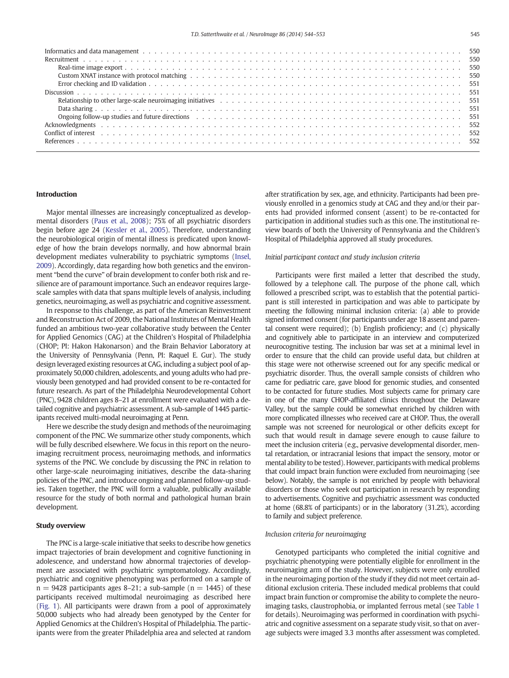#### Introduction

Major mental illnesses are increasingly conceptualized as developmental disorders [\(Paus et al., 2008\)](#page-11-0); 75% of all psychiatric disorders begin before age 24 [\(Kessler et al., 2005\)](#page-10-0). Therefore, understanding the neurobiological origin of mental illness is predicated upon knowledge of how the brain develops normally, and how abnormal brain development mediates vulnerability to psychiatric symptoms [\(Insel,](#page-10-0) [2009](#page-10-0)). Accordingly, data regarding how both genetics and the environment "bend the curve" of brain development to confer both risk and resilience are of paramount importance. Such an endeavor requires largescale samples with data that spans multiple levels of analysis, including genetics, neuroimaging, as well as psychiatric and cognitive assessment.

In response to this challenge, as part of the American Reinvestment and Reconstruction Act of 2009, the National Institutes of Mental Health funded an ambitious two-year collaborative study between the Center for Applied Genomics (CAG) at the Children's Hospital of Philadelphia (CHOP; PI: Hakon Hakonarson) and the Brain Behavior Laboratory at the University of Pennsylvania (Penn, PI: Raquel E. Gur). The study design leveraged existing resources at CAG, including a subject pool of approximately 50,000 children, adolescents, and young adults who had previously been genotyped and had provided consent to be re-contacted for future research. As part of the Philadelphia Neurodevelopmental Cohort (PNC), 9428 children ages 8–21 at enrollment were evaluated with a detailed cognitive and psychiatric assessment. A sub-sample of 1445 participants received multi-modal neuroimaging at Penn.

Here we describe the study design and methods of the neuroimaging component of the PNC. We summarize other study components, which will be fully described elsewhere. We focus in this report on the neuroimaging recruitment process, neuroimaging methods, and informatics systems of the PNC. We conclude by discussing the PNC in relation to other large-scale neuroimaging initiatives, describe the data-sharing policies of the PNC, and introduce ongoing and planned follow-up studies. Taken together, the PNC will form a valuable, publically available resource for the study of both normal and pathological human brain development.

#### Study overview

The PNC is a large-scale initiative that seeks to describe how genetics impact trajectories of brain development and cognitive functioning in adolescence, and understand how abnormal trajectories of development are associated with psychiatric symptomatology. Accordingly, psychiatric and cognitive phenotyping was performed on a sample of  $n = 9428$  participants ages 8-21; a sub-sample ( $n = 1445$ ) of these participants received multimodal neuroimaging as described here [\(Fig. 1](#page-4-0)). All participants were drawn from a pool of approximately 50,000 subjects who had already been genotyped by the Center for Applied Genomics at the Children's Hospital of Philadelphia. The participants were from the greater Philadelphia area and selected at random

after stratification by sex, age, and ethnicity. Participants had been previously enrolled in a genomics study at CAG and they and/or their parents had provided informed consent (assent) to be re-contacted for participation in additional studies such as this one. The institutional review boards of both the University of Pennsylvania and the Children's Hospital of Philadelphia approved all study procedures.

#### Initial participant contact and study inclusion criteria

Participants were first mailed a letter that described the study, followed by a telephone call. The purpose of the phone call, which followed a prescribed script, was to establish that the potential participant is still interested in participation and was able to participate by meeting the following minimal inclusion criteria: (a) able to provide signed informed consent (for participants under age 18 assent and parental consent were required); (b) English proficiency; and (c) physically and cognitively able to participate in an interview and computerized neurocognitive testing. The inclusion bar was set at a minimal level in order to ensure that the child can provide useful data, but children at this stage were not otherwise screened out for any specific medical or psychiatric disorder. Thus, the overall sample consists of children who came for pediatric care, gave blood for genomic studies, and consented to be contacted for future studies. Most subjects came for primary care in one of the many CHOP-affiliated clinics throughout the Delaware Valley, but the sample could be somewhat enriched by children with more complicated illnesses who received care at CHOP. Thus, the overall sample was not screened for neurological or other deficits except for such that would result in damage severe enough to cause failure to meet the inclusion criteria (e.g., pervasive developmental disorder, mental retardation, or intracranial lesions that impact the sensory, motor or mental ability to be tested). However, participants with medical problems that could impact brain function were excluded from neuroimaging (see below). Notably, the sample is not enriched by people with behavioral disorders or those who seek out participation in research by responding to advertisements. Cognitive and psychiatric assessment was conducted at home (68.8% of participants) or in the laboratory (31.2%), according to family and subject preference.

#### Inclusion criteria for neuroimaging

Genotyped participants who completed the initial cognitive and psychiatric phenotyping were potentially eligible for enrollment in the neuroimaging arm of the study. However, subjects were only enrolled in the neuroimaging portion of the study if they did not meet certain additional exclusion criteria. These included medical problems that could impact brain function or compromise the ability to complete the neuroimaging tasks, claustrophobia, or implanted ferrous metal (see [Table 1](#page-4-0) for details). Neuroimaging was performed in coordination with psychiatric and cognitive assessment on a separate study visit, so that on average subjects were imaged 3.3 months after assessment was completed.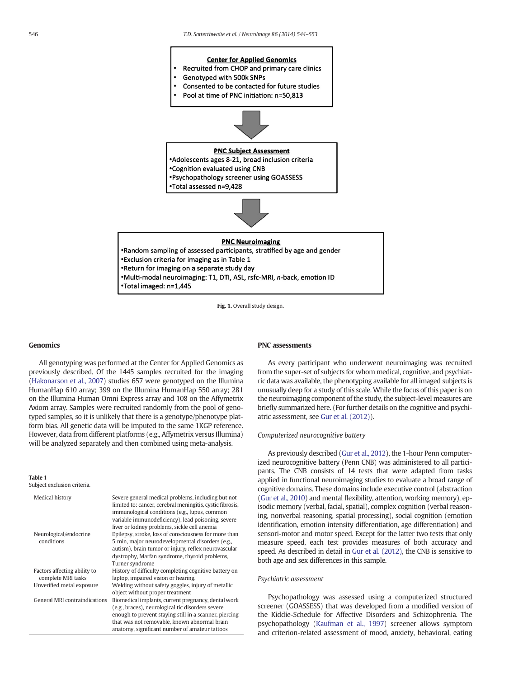<span id="page-4-0"></span>

Fig. 1. Overall study design.

#### Genomics

All genotyping was performed at the Center for Applied Genomics as previously described. Of the 1445 samples recruited for the imaging [\(Hakonarson et al., 2007\)](#page-10-0) studies 657 were genotyped on the Illumina HumanHap 610 array; 399 on the Illumina HumanHap 550 array; 281 on the Illumina Human Omni Express array and 108 on the Affymetrix Axiom array. Samples were recruited randomly from the pool of genotyped samples, so it is unlikely that there is a genotype/phenotype platform bias. All genetic data will be imputed to the same 1KGP reference. However, data from different platforms (e.g., Affymetrix versus Illumina) will be analyzed separately and then combined using meta-analysis.

#### Table 1

| Subject exclusion criteria. |  |
|-----------------------------|--|
|                             |  |

| Medical history               | Severe general medical problems, including but not<br>limited to: cancer, cerebral meningitis, cystic fibrosis,<br>immunological conditions (e.g., lupus, common<br>variable immunodeficiency), lead poisoning, severe<br>liver or kidney problems, sickle cell anemia |
|-------------------------------|------------------------------------------------------------------------------------------------------------------------------------------------------------------------------------------------------------------------------------------------------------------------|
| Neurological/endocrine        | Epilepsy, stroke, loss of consciousness for more than                                                                                                                                                                                                                  |
| conditions                    | 5 min, major neurodevelopmental disorders (e.g.,                                                                                                                                                                                                                       |
|                               | autism), brain tumor or injury, reflex neurovascular                                                                                                                                                                                                                   |
|                               | dystrophy, Marfan syndrome, thyroid problems,                                                                                                                                                                                                                          |
|                               | Turner syndrome                                                                                                                                                                                                                                                        |
| Factors affecting ability to  | History of difficulty completing cognitive battery on                                                                                                                                                                                                                  |
| complete MRI tasks            | laptop, impaired vision or hearing.                                                                                                                                                                                                                                    |
| Unverified metal exposure     | Welding without safety goggles, injury of metallic                                                                                                                                                                                                                     |
|                               | object without proper treatment                                                                                                                                                                                                                                        |
| General MRI contraindications | Biomedical implants, current pregnancy, dental work                                                                                                                                                                                                                    |
|                               | (e.g., braces), neurological tic disorders severe                                                                                                                                                                                                                      |
|                               | enough to prevent staying still in a scanner, piercing                                                                                                                                                                                                                 |
|                               | that was not removable, known abnormal brain                                                                                                                                                                                                                           |
|                               | anatomy, significant number of amateur tattoos                                                                                                                                                                                                                         |

#### PNC assessments

As every participant who underwent neuroimaging was recruited from the super-set of subjects for whom medical, cognitive, and psychiatric data was available, the phenotyping available for all imaged subjects is unusually deep for a study of this scale. While the focus of this paper is on the neuroimaging component of the study, the subject-level measures are briefly summarized here. (For further details on the cognitive and psychiatric assessment, see [Gur et al. \(2012\)](#page-10-0)).

#### Computerized neurocognitive battery

As previously described [\(Gur et al., 2012](#page-10-0)), the 1-hour Penn computerized neurocognitive battery (Penn CNB) was administered to all participants. The CNB consists of 14 tests that were adapted from tasks applied in functional neuroimaging studies to evaluate a broad range of cognitive domains. These domains include executive control (abstraction [\(Gur et al., 2010\)](#page-10-0) and mental flexibility, attention, working memory), episodic memory (verbal, facial, spatial), complex cognition (verbal reasoning, nonverbal reasoning, spatial processing), social cognition (emotion identification, emotion intensity differentiation, age differentiation) and sensori-motor and motor speed. Except for the latter two tests that only measure speed, each test provides measures of both accuracy and speed. As described in detail in [Gur et al. \(2012\),](#page-10-0) the CNB is sensitive to both age and sex differences in this sample.

#### Psychiatric assessment

Psychopathology was assessed using a computerized structured screener (GOASSESS) that was developed from a modified version of the Kiddie-Schedule for Affective Disorders and Schizophrenia. The psychopathology [\(Kaufman et al., 1997](#page-10-0)) screener allows symptom and criterion-related assessment of mood, anxiety, behavioral, eating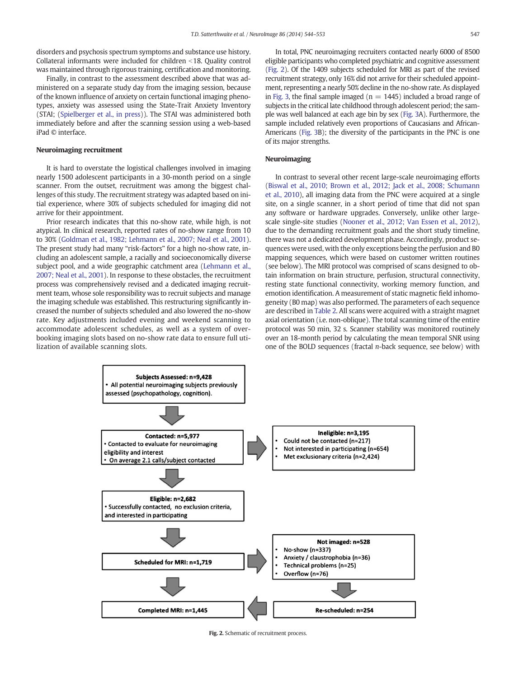disorders and psychosis spectrum symptoms and substance use history. Collateral informants were included for children  $\le$ 18. Quality control was maintained through rigorous training, certification and monitoring.

Finally, in contrast to the assessment described above that was administered on a separate study day from the imaging session, because of the known influence of anxiety on certain functional imaging phenotypes, anxiety was assessed using the State-Trait Anxiety Inventory (STAI; ([Spielberger et al., in press](#page-11-0))). The STAI was administered both immediately before and after the scanning session using a web-based iPad © interface.

#### Neuroimaging recruitment

It is hard to overstate the logistical challenges involved in imaging nearly 1500 adolescent participants in a 30-month period on a single scanner. From the outset, recruitment was among the biggest challenges of this study. The recruitment strategy was adapted based on initial experience, where 30% of subjects scheduled for imaging did not arrive for their appointment.

Prior research indicates that this no-show rate, while high, is not atypical. In clinical research, reported rates of no-show range from 10 to 30% ([Goldman et al., 1982; Lehmann et al., 2007; Neal et al., 2001](#page-10-0)). The present study had many "risk-factors" for a high no-show rate, including an adolescent sample, a racially and socioeconomically diverse subject pool, and a wide geographic catchment area [\(Lehmann et al.,](#page-11-0) [2007; Neal et al., 2001](#page-11-0)). In response to these obstacles, the recruitment process was comprehensively revised and a dedicated imaging recruitment team, whose sole responsibility was to recruit subjects and manage the imaging schedule was established. This restructuring significantly increased the number of subjects scheduled and also lowered the no-show rate. Key adjustments included evening and weekend scanning to accommodate adolescent schedules, as well as a system of overbooking imaging slots based on no-show rate data to ensure full utilization of available scanning slots.

In total, PNC neuroimaging recruiters contacted nearly 6000 of 8500 eligible participants who completed psychiatric and cognitive assessment (Fig. 2). Of the 1409 subjects scheduled for MRI as part of the revised recruitment strategy, only 16% did not arrive for their scheduled appointment, representing a nearly 50% decline in the no-show rate. As displayed in [Fig. 3,](#page-6-0) the final sample imaged ( $n = 1445$ ) included a broad range of subjects in the critical late childhood through adolescent period; the sample was well balanced at each age bin by sex [\(Fig. 3](#page-6-0)A). Furthermore, the sample included relatively even proportions of Caucasians and African-Americans [\(Fig. 3](#page-6-0)B); the diversity of the participants in the PNC is one of its major strengths.

#### Neuroimaging

In contrast to several other recent large-scale neuroimaging efforts [\(Biswal et al., 2010; Brown et al., 2012; Jack et al., 2008; Schumann](#page-10-0) [et al., 2010](#page-10-0)), all imaging data from the PNC were acquired at a single site, on a single scanner, in a short period of time that did not span any software or hardware upgrades. Conversely, unlike other largescale single-site studies [\(Nooner et al., 2012; Van Essen et al., 2012](#page-11-0)), due to the demanding recruitment goals and the short study timeline, there was not a dedicated development phase. Accordingly, product sequences were used, with the only exceptions being the perfusion and B0 mapping sequences, which were based on customer written routines (see below). The MRI protocol was comprised of scans designed to obtain information on brain structure, perfusion, structural connectivity, resting state functional connectivity, working memory function, and emotion identification. A measurement of static magnetic field inhomogeneity (B0 map) was also performed. The parameters of each sequence are described in [Table 2](#page-6-0). All scans were acquired with a straight magnet axial orientation (i.e. non-oblique). The total scanning time of the entire protocol was 50 min, 32 s. Scanner stability was monitored routinely over an 18-month period by calculating the mean temporal SNR using one of the BOLD sequences (fractal  $n$ -back sequence, see below) with



Fig. 2. Schematic of recruitment process.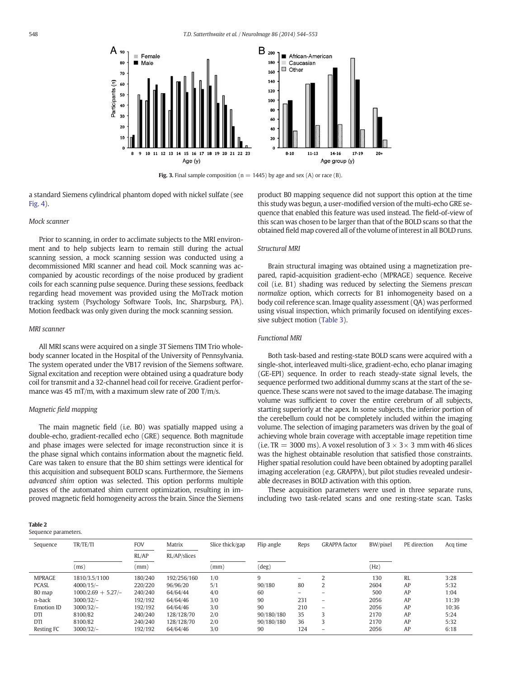<span id="page-6-0"></span>

Fig. 3. Final sample composition ( $n = 1445$ ) by age and sex (A) or race (B).

a standard Siemens cylindrical phantom doped with nickel sulfate (see [Fig. 4](#page-7-0)).

#### Mock scanner

Prior to scanning, in order to acclimate subjects to the MRI environment and to help subjects learn to remain still during the actual scanning session, a mock scanning session was conducted using a decommissioned MRI scanner and head coil. Mock scanning was accompanied by acoustic recordings of the noise produced by gradient coils for each scanning pulse sequence. During these sessions, feedback regarding head movement was provided using the MoTrack motion tracking system (Psychology Software Tools, Inc, Sharpsburg, PA). Motion feedback was only given during the mock scanning session.

#### MRI scanner

All MRI scans were acquired on a single 3T Siemens TIM Trio wholebody scanner located in the Hospital of the University of Pennsylvania. The system operated under the VB17 revision of the Siemens software. Signal excitation and reception were obtained using a quadrature body coil for transmit and a 32-channel head coil for receive. Gradient performance was 45 mT/m, with a maximum slew rate of 200 T/m/s.

#### Magnetic field mapping

The main magnetic field (i.e. B0) was spatially mapped using a double-echo, gradient-recalled echo (GRE) sequence. Both magnitude and phase images were selected for image reconstruction since it is the phase signal which contains information about the magnetic field. Care was taken to ensure that the B0 shim settings were identical for this acquisition and subsequent BOLD scans. Furthermore, the Siemens advanced shim option was selected. This option performs multiple passes of the automated shim current optimization, resulting in improved magnetic field homogeneity across the brain. Since the Siemens

| Table 2 |                      |
|---------|----------------------|
|         | Sequence parameters. |

 $T = T$ 

product B0 mapping sequence did not support this option at the time this study was begun, a user-modified version of the multi-echo GRE sequence that enabled this feature was used instead. The field-of-view of this scan was chosen to be larger than that of the BOLD scans so that the obtained field map covered all of the volume of interest in all BOLD runs.

#### Structural MRI

Brain structural imaging was obtained using a magnetization prepared, rapid-acquisition gradient-echo (MPRAGE) sequence. Receive coil (i.e. B1) shading was reduced by selecting the Siemens prescan normalize option, which corrects for B1 inhomogeneity based on a body coil reference scan. Image quality assessment (QA) was performed using visual inspection, which primarily focused on identifying excessive subject motion [\(Table 3\)](#page-7-0).

#### Functional MRI

Both task-based and resting-state BOLD scans were acquired with a single-shot, interleaved multi-slice, gradient-echo, echo planar imaging (GE-EPI) sequence. In order to reach steady-state signal levels, the sequence performed two additional dummy scans at the start of the sequence. These scans were not saved to the image database. The imaging volume was sufficient to cover the entire cerebrum of all subjects, starting superiorly at the apex. In some subjects, the inferior portion of the cerebellum could not be completely included within the imaging volume. The selection of imaging parameters was driven by the goal of achieving whole brain coverage with acceptable image repetition time (i.e. TR = 3000 ms). A voxel resolution of  $3 \times 3 \times 3$  mm with 46 slices was the highest obtainable resolution that satisfied those constraints. Higher spatial resolution could have been obtained by adopting parallel imaging acceleration (e.g. GRAPPA), but pilot studies revealed undesirable decreases in BOLD activation with this option.

These acquisition parameters were used in three separate runs, including two task-related scans and one resting-state scan. Tasks

| Sequence          | TR/TE/TI            | <b>FOV</b> | Matrix       | Slice thick/gap | Flip angle | Reps              | <b>GRAPPA</b> factor | BW/pixel | PE direction | Acq time |
|-------------------|---------------------|------------|--------------|-----------------|------------|-------------------|----------------------|----------|--------------|----------|
|                   |                     |            |              |                 |            |                   |                      |          |              |          |
|                   |                     | RL/AP      | RL/AP/slices |                 |            |                   |                      |          |              |          |
|                   | (ms)                | (mm)       |              | (mm)            | (deg)      |                   |                      | (Hz)     |              |          |
| <b>MPRAGE</b>     | 1810/3.5/1100       | 180/240    | 192/256/160  | 1/0             | 9          | $\qquad \qquad -$ |                      | 130      | <b>RL</b>    | 3:28     |
| <b>PCASL</b>      | $4000/15/-$         | 220/220    | 96/96/20     | 5/1             | 90/180     | 80                |                      | 2604     | AP           | 5:32     |
| B0 map            | $1000/2.69 + 5.27/$ | 240/240    | 64/64/44     | 4/0             | 60         | $\qquad \qquad -$ |                      | 500      | AP           | 1:04     |
| n-back            | $3000/32/-$         | 192/192    | 64/64/46     | 3/0             | 90         | 231               | ۰                    | 2056     | AP           | 11:39    |
| Emotion ID        | $3000/32/-$         | 192/192    | 64/64/46     | 3/0             | 90         | 210               | ۰                    | 2056     | AP           | 10:36    |
| DTI               | 8100/82             | 240/240    | 128/128/70   | 2/0             | 90/180/180 | 35                | 3                    | 2170     | AP           | 5:24     |
| DTI               | 8100/82             | 240/240    | 128/128/70   | 2/0             | 90/180/180 | 36                | 3                    | 2170     | AP           | 5:32     |
| <b>Resting FC</b> | $3000/32/-$         | 192/192    | 64/64/46     | 3/0             | 90         | 124               | ۰                    | 2056     | AP           | 6:18     |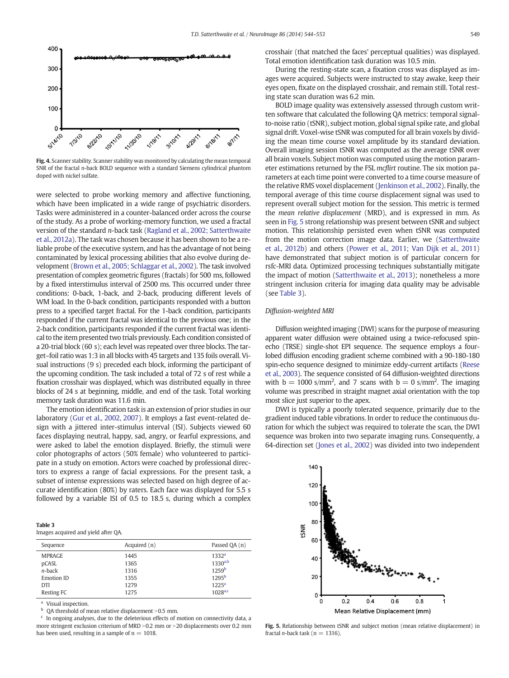<span id="page-7-0"></span>

Fig. 4. Scanner stability. Scanner stability was monitored by calculating the mean temporal SNR of the fractal n-back BOLD sequence with a standard Siemens cylindrical phantom doped with nickel sulfate.

were selected to probe working memory and affective functioning, which have been implicated in a wide range of psychiatric disorders. Tasks were administered in a counter-balanced order across the course of the study. As a probe of working-memory function, we used a fractal version of the standard n-back task [\(Ragland et al., 2002; Satterthwaite](#page-11-0) [et al., 2012a](#page-11-0)). The task was chosen because it has been shown to be a reliable probe of the executive system, and has the advantage of not being contaminated by lexical processing abilities that also evolve during development ([Brown et al., 2005; Schlaggar et al., 2002\)](#page-10-0). The task involved presentation of complex geometric figures (fractals) for 500 ms, followed by a fixed interstimulus interval of 2500 ms. This occurred under three conditions: 0-back, 1-back, and 2-back, producing different levels of WM load. In the 0-back condition, participants responded with a button press to a specified target fractal. For the 1-back condition, participants responded if the current fractal was identical to the previous one; in the 2-back condition, participants responded if the current fractal was identical to the item presented two trials previously. Each condition consisted of a 20-trial block (60 s); each level was repeated over three blocks. The target–foil ratio was 1:3 in all blocks with 45 targets and 135 foils overall. Visual instructions (9 s) preceded each block, informing the participant of the upcoming condition. The task included a total of 72 s of rest while a fixation crosshair was displayed, which was distributed equally in three blocks of 24 s at beginning, middle, and end of the task. Total working memory task duration was 11.6 min.

The emotion identification task is an extension of prior studies in our laboratory [\(Gur et al., 2002, 2007](#page-10-0)). It employs a fast event-related design with a jittered inter-stimulus interval (ISI). Subjects viewed 60 faces displaying neutral, happy, sad, angry, or fearful expressions, and were asked to label the emotion displayed. Briefly, the stimuli were color photographs of actors (50% female) who volunteered to participate in a study on emotion. Actors were coached by professional directors to express a range of facial expressions. For the present task, a subset of intense expressions was selected based on high degree of accurate identification (80%) by raters. Each face was displayed for 5.5 s followed by a variable ISI of 0.5 to 18.5 s, during which a complex

| .<br>. . |  |
|----------|--|
|----------|--|

Images acquired and yield after QA.

| Sequence      | Acquired (n) | Passed QA (n)     |
|---------------|--------------|-------------------|
| <b>MPRAGE</b> | 1445         | 1332 <sup>a</sup> |
| pCASL         | 1365         | $1330^{a,b}$      |
| $n$ -back     | 1316         | 1259 <sup>b</sup> |
| Emotion ID    | 1355         | 1295 <sup>b</sup> |
| DTI           | 1279         | $1225^a$          |
| Resting FC    | 1275         | $1028^{a,c}$      |

Visual inspection.

QA threshold of mean relative displacement  $>$  0.5 mm.

In ongoing analyses, due to the deleterious effects of motion on connectivity data, a more stringent exclusion criterium of MRD > 0.2 mm or > 20 displacements over 0.2 mm has been used, resulting in a sample of  $n = 1018$ .

crosshair (that matched the faces' perceptual qualities) was displayed. Total emotion identification task duration was 10.5 min.

During the resting-state scan, a fixation cross was displayed as images were acquired. Subjects were instructed to stay awake, keep their eyes open, fixate on the displayed crosshair, and remain still. Total resting state scan duration was 6.2 min.

BOLD image quality was extensively assessed through custom written software that calculated the following QA metrics: temporal signalto-noise ratio (tSNR), subject motion, global signal spike rate, and global signal drift. Voxel-wise tSNR was computed for all brain voxels by dividing the mean time course voxel amplitude by its standard deviation. Overall imaging session tSNR was computed as the average tSNR over all brain voxels. Subject motion was computed using the motion parameter estimations returned by the FSL mcflirt routine. The six motion parameters at each time point were converted to a time course measure of the relative RMS voxel displacement ([Jenkinson et al., 2002](#page-10-0)). Finally, the temporal average of this time course displacement signal was used to represent overall subject motion for the session. This metric is termed the mean relative displacement (MRD), and is expressed in mm. As seen in Fig. 5 strong relationship was present between tSNR and subject motion. This relationship persisted even when tSNR was computed from the motion correction image data. Earlier, we [\(Satterthwaite](#page-11-0) [et al., 2012b](#page-11-0)) and others ([Power et al., 2011; Van Dijk et al., 2011](#page-11-0)) have demonstrated that subject motion is of particular concern for rsfc-MRI data. Optimized processing techniques substantially mitigate the impact of motion ([Satterthwaite et al., 2013\)](#page-11-0); nonetheless a more stringent inclusion criteria for imaging data quality may be advisable (see Table 3).

#### Diffusion-weighted MRI

Diffusion weighted imaging (DWI) scans for the purpose of measuring apparent water diffusion were obtained using a twice-refocused spinecho (TRSE) single-shot EPI sequence. The sequence employs a fourlobed diffusion encoding gradient scheme combined with a 90-180-180 spin-echo sequence designed to minimize eddy-current artifacts ([Reese](#page-11-0) [et al., 2003](#page-11-0)). The sequence consisted of 64 diffusion-weighted directions with  $b = 1000$  s/mm<sup>2</sup>, and 7 scans with  $b = 0$  s/mm<sup>2</sup>. The imaging volume was prescribed in straight magnet axial orientation with the top most slice just superior to the apex.

DWI is typically a poorly tolerated sequence, primarily due to the gradient induced table vibrations. In order to reduce the continuous duration for which the subject was required to tolerate the scan, the DWI sequence was broken into two separate imaging runs. Consequently, a 64-direction set ([Jones et al., 2002\)](#page-10-0) was divided into two independent



Fig. 5. Relationship between tSNR and subject motion (mean relative displacement) in fractal *n*-back task ( $n = 1316$ ).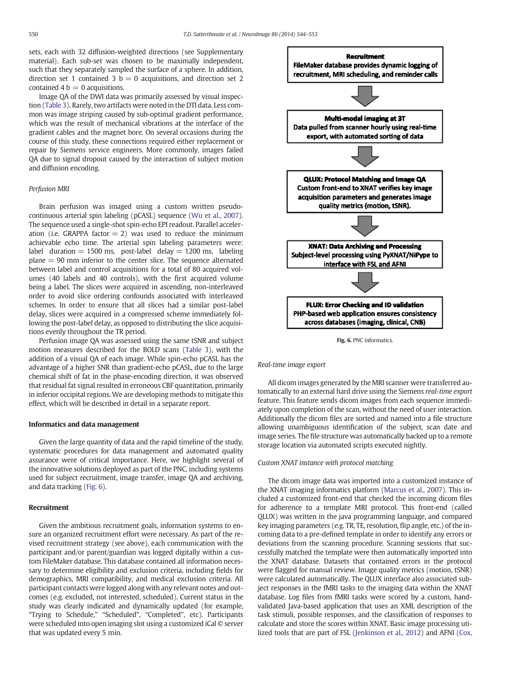sets, each with 32 diffusion-weighted directions (see Supplementary material). Each sub-set was chosen to be maximally independent, such that they separately sampled the surface of a sphere. In addition, direction set 1 contained 3  $b = 0$  acquisitions, and direction set 2 contained  $4 b = 0$  acquisitions.

Image QA of the DWI data was primarily assessed by visual inspection ([Table 3\)](#page-7-0). Rarely, two artifacts were noted in the DTI data. Less common was image striping caused by sub-optimal gradient performance, which was the result of mechanical vibrations at the interface of the gradient cables and the magnet bore. On several occasions during the course of this study, these connections required either replacement or repair by Siemens service engineers. More commonly, images failed QA due to signal dropout caused by the interaction of subject motion and diffusion encoding.

#### Perfusion MRI

Brain perfusion was imaged using a custom written pseudocontinuous arterial spin labeling (pCASL) sequence [\(Wu et al., 2007\)](#page-11-0). The sequence used a single-shot spin-echo EPI readout. Parallel acceleration (i.e. GRAPPA factor  $= 2$ ) was used to reduce the minimum achievable echo time. The arterial spin labeling parameters were: label duration = 1500 ms, post-label delay = 1200 ms, labeling  $plane = 90$  mm inferior to the center slice. The sequence alternated between label and control acquisitions for a total of 80 acquired volumes (40 labels and 40 controls), with the first acquired volume being a label. The slices were acquired in ascending, non-interleaved order to avoid slice ordering confounds associated with interleaved schemes. In order to ensure that all slices had a similar post-label delay, slices were acquired in a compressed scheme immediately following the post-label delay, as opposed to distributing the slice acquisitions evenly throughout the TR period.

Perfusion image QA was assessed using the same tSNR and subject motion measures described for the BOLD scans [\(Table 3](#page-7-0)), with the addition of a visual QA of each image. While spin-echo pCASL has the advantage of a higher SNR than gradient-echo pCASL, due to the large chemical shift of fat in the phase-encoding direction, it was observed that residual fat signal resulted in erroneous CBF quantitation, primarily in inferior occipital regions. We are developing methods to mitigate this effect, which will be described in detail in a separate report.

#### Informatics and data management

Given the large quantity of data and the rapid timeline of the study, systematic procedures for data management and automated quality assurance were of critical importance. Here, we highlight several of the innovative solutions deployed as part of the PNC, including systems used for subject recruitment, image transfer, image QA and archiving, and data tracking (Fig. 6).

#### Recruitment

Given the ambitious recruitment goals, information systems to ensure an organized recruitment effort were necessary. As part of the revised recruitment strategy (see above), each communication with the participant and/or parent/guardian was logged digitally within a custom FileMaker database. This database contained all information necessary to determine eligibility and exclusion criteria, including fields for demographics, MRI compatibility, and medical exclusion criteria. All participant contacts were logged along with any relevant notes and outcomes (e.g. excluded, not interested, scheduled). Current status in the study was clearly indicated and dynamically updated (for example, "Trying to Schedule," "Scheduled", "Completed", etc). Participants were scheduled into open imaging slot using a customized iCal © server that was updated every 5 min.



Fig. 6. PNC informatics.

#### Real-time image export

All dicom images generated by the MRI scanner were transferred automatically to an external hard drive using the Siemens real-time export feature. This feature sends dicom images from each sequence immediately upon completion of the scan, without the need of user interaction. Additionally the dicom files are sorted and named into a file structure allowing unambiguous identification of the subject, scan date and image series. The file structure was automatically backed up to a remote storage location via automated scripts executed nightly.

#### Custom XNAT instance with protocol matching

The dicom image data was imported into a customized instance of the XNAT imaging informatics platform ([Marcus et al., 2007\)](#page-11-0). This included a customized front-end that checked the incoming dicom files for adherence to a template MRI protocol. This front-end (called QLUX) was written in the java programming language, and compared key imaging parameters (e.g. TR, TE, resolution, flip angle, etc.) of the incoming data to a pre-defined template in order to identify any errors or deviations from the scanning procedure. Scanning sessions that successfully matched the template were then automatically imported into the XNAT database. Datasets that contained errors in the protocol were flagged for manual review. Image quality metrics (motion, tSNR) were calculated automatically. The QLUX interface also associated subject responses in the fMRI tasks to the imaging data within the XNAT database. Log files from fMRI tasks were scored by a custom, handvalidated Java-based application that uses an XML description of the task stimuli, possible responses, and the classification of responses to calculate and store the scores within XNAT. Basic image processing utilized tools that are part of FSL ([Jenkinson et al., 2012\)](#page-10-0) and AFNI ([Cox,](#page-10-0)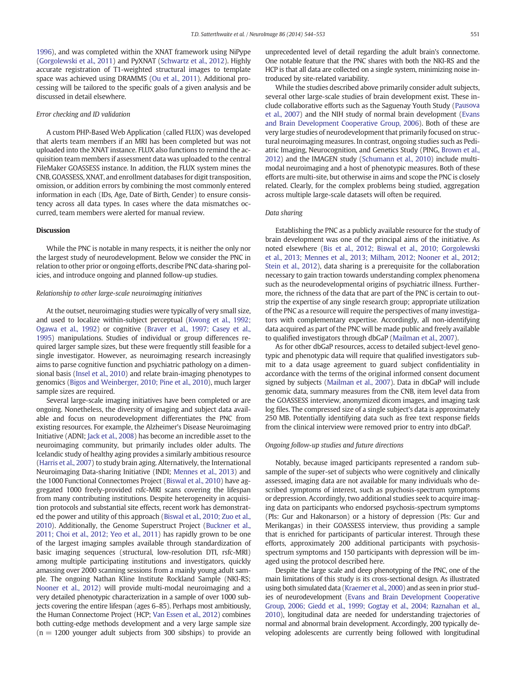[1996](#page-10-0)), and was completed within the XNAT framework using NiPype [\(Gorgolewski et al., 2011\)](#page-10-0) and PyXNAT [\(Schwartz et al., 2012\)](#page-11-0). Highly accurate registration of T1-weighted structural images to template space was achieved using DRAMMS [\(Ou et al., 2011\)](#page-11-0). Additional processing will be tailored to the specific goals of a given analysis and be discussed in detail elsewhere.

#### Error checking and ID validation

A custom PHP-Based Web Application (called FLUX) was developed that alerts team members if an MRI has been completed but was not uploaded into the XNAT instance. FLUX also functions to remind the acquisition team members if assessment data was uploaded to the central FileMaker GOASSESS instance. In addition, the FLUX system mines the CNB, GOASSESS, XNAT, and enrollment databases for digit transposition, omission, or addition errors by combining the most commonly entered information in each (IDs, Age, Date of Birth, Gender) to ensure consistency across all data types. In cases where the data mismatches occurred, team members were alerted for manual review.

#### Discussion

While the PNC is notable in many respects, it is neither the only nor the largest study of neurodevelopment. Below we consider the PNC in relation to other prior or ongoing efforts, describe PNC data-sharing policies, and introduce ongoing and planned follow-up studies.

#### Relationship to other large-scale neuroimaging initiatives

At the outset, neuroimaging studies were typically of very small size, and used to localize within-subject perceptual ([Kwong et al., 1992;](#page-10-0) [Ogawa et al., 1992](#page-10-0)) or cognitive [\(Braver et al., 1997; Casey et al.,](#page-10-0) [1995](#page-10-0)) manipulations. Studies of individual or group differences required larger sample sizes, but these were frequently still feasible for a single investigator. However, as neuroimaging research increasingly aims to parse cognitive function and psychiatric pathology on a dimensional basis ([Insel et al., 2010](#page-10-0)) and relate brain-imaging phenotypes to genomics ([Bigos and Weinberger, 2010; Pine et al., 2010](#page-10-0)), much larger sample sizes are required.

Several large-scale imaging initiatives have been completed or are ongoing. Nonetheless, the diversity of imaging and subject data available and focus on neurodevelopment differentiates the PNC from existing resources. For example, the Alzheimer's Disease Neuroimaging Initiative (ADNI; [Jack et al., 2008\)](#page-10-0) has become an incredible asset to the neuroimaging community, but primarily includes older adults. The Icelandic study of healthy aging provides a similarly ambitious resource [\(Harris et al., 2007\)](#page-10-0) to study brain aging. Alternatively, the International Neuroimaging Data-sharing Initiative (INDI; [Mennes et al., 2013\)](#page-11-0) and the 1000 Functional Connectomes Project ([Biswal et al., 2010\)](#page-10-0) have aggregated 1000 freely-provided rsfc-MRI scans covering the lifespan from many contributing institutions. Despite heterogeneity in acquisition protocols and substantial site effects, recent work has demonstrated the power and utility of this approach ([Biswal et al., 2010; Zuo et al.,](#page-10-0) [2010](#page-10-0)). Additionally, the Genome Superstruct Project [\(Buckner et al.,](#page-10-0) [2011; Choi et al., 2012; Yeo et al., 2011\)](#page-10-0) has rapidly grown to be one of the largest imaging samples available through standardization of basic imaging sequences (structural, low-resolution DTI, rsfc-MRI) among multiple participating institutions and investigators, quickly amassing over 2000 scanning sessions from a mainly young adult sample. The ongoing Nathan Kline Institute Rockland Sample (NKI-RS; [Nooner et al., 2012\)](#page-11-0) will provide multi-modal neuroimaging and a very detailed phenotypic characterization in a sample of over 1000 subjects covering the entire lifespan (ages 6–85). Perhaps most ambitiously, the Human Connectome Project (HCP; [Van Essen et al., 2012\)](#page-11-0) combines both cutting-edge methods development and a very large sample size  $(n = 1200$  younger adult subjects from 300 sibships) to provide an unprecedented level of detail regarding the adult brain's connectome. One notable feature that the PNC shares with both the NKI-RS and the HCP is that all data are collected on a single system, minimizing noise introduced by site-related variability.

While the studies described above primarily consider adult subjects, several other large-scale studies of brain development exist. These include collaborative efforts such as the Saguenay Youth Study ([Pausova](#page-11-0) [et al., 2007\)](#page-11-0) and the NIH study of normal brain development ([Evans](#page-10-0) [and Brain Development Cooperative Group, 2006](#page-10-0)). Both of these are very large studies of neurodevelopment that primarily focused on structural neuroimaging measures. In contrast, ongoing studies such as Pediatric Imaging, Neurocognition, and Genetics Study (PING, [Brown et al.,](#page-10-0) [2012](#page-10-0)) and the IMAGEN study ([Schumann et al., 2010](#page-11-0)) include multimodal neuroimaging and a host of phenotypic measures. Both of these efforts are multi-site, but otherwise in aims and scope the PNC is closely related. Clearly, for the complex problems being studied, aggregation across multiple large-scale datasets will often be required.

#### Data sharing

Establishing the PNC as a publicly available resource for the study of brain development was one of the principal aims of the initiative. As noted elsewhere ([Bis et al., 2012; Biswal et al., 2010; Gorgolewski](#page-10-0) [et al., 2013; Mennes et al., 2013; Milham, 2012; Nooner et al., 2012;](#page-10-0) [Stein et al., 2012](#page-10-0)), data sharing is a prerequisite for the collaboration necessary to gain traction towards understanding complex phenomena such as the neurodevelopmental origins of psychiatric illness. Furthermore, the richness of the data that are part of the PNC is certain to outstrip the expertise of any single research group; appropriate utilization of the PNC as a resource will require the perspectives of many investigators with complementary expertise. Accordingly, all non-identifying data acquired as part of the PNC will be made public and freely available to qualified investigators through dbGaP ([Mailman et al., 2007\)](#page-11-0).

As for other dbGaP resources, access to detailed subject-level genotypic and phenotypic data will require that qualified investigators submit to a data usage agreement to guard subject confidentiality in accordance with the terms of the original informed consent document signed by subjects ([Mailman et al., 2007\)](#page-11-0). Data in dbGaP will include genomic data, summary measures from the CNB, item level data from the GOASSESS interview, anonymized dicom images, and imaging task log files. The compressed size of a single subject's data is approximately 250 MB. Potentially identifying data such as free text response fields from the clinical interview were removed prior to entry into dbGaP.

#### Ongoing follow-up studies and future directions

Notably, because imaged participants represented a random subsample of the super-set of subjects who were cognitively and clinically assessed, imaging data are not available for many individuals who described symptoms of interest, such as psychosis-spectrum symptoms or depression. Accordingly, two additional studies seek to acquire imaging data on participants who endorsed psychosis-spectrum symptoms (PIs: Gur and Hakonarson) or a history of depression (PIs: Gur and Merikangas) in their GOASSESS interview, thus providing a sample that is enriched for participants of particular interest. Through these efforts, approximately 200 additional participants with psychosisspectrum symptoms and 150 participants with depression will be imaged using the protocol described here.

Despite the large scale and deep phenotyping of the PNC, one of the main limitations of this study is its cross-sectional design. As illustrated using both simulated data ([Kraemer et al., 2000](#page-10-0)) and as seen in prior studies of neurodevelopment [\(Evans and Brain Development Cooperative](#page-10-0) [Group, 2006; Giedd et al., 1999; Gogtay et al., 2004; Raznahan et al.,](#page-10-0) [2010\)](#page-10-0), longitudinal data are needed for understanding trajectories of normal and abnormal brain development. Accordingly, 200 typically developing adolescents are currently being followed with longitudinal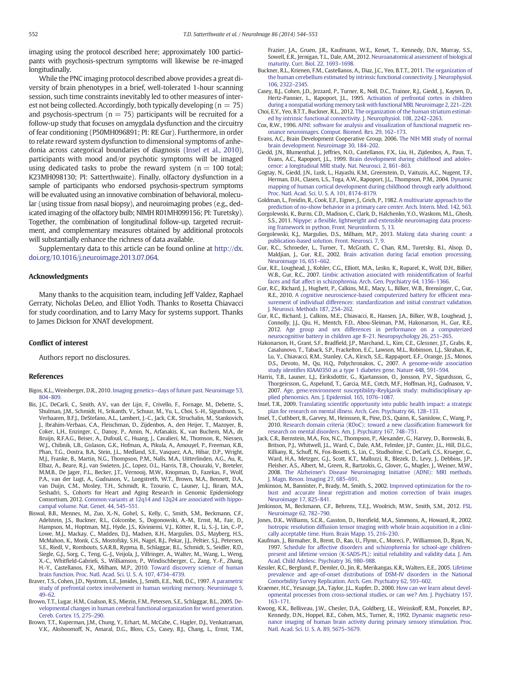<span id="page-10-0"></span>imaging using the protocol described here; approximately 100 participants with psychosis-spectrum symptoms will likewise be re-imaged longitudinally.

While the PNC imaging protocol described above provides a great diversity of brain phenotypes in a brief, well-tolerated 1-hour scanning session, such time constraints inevitably led to other measures of interest not being collected. Accordingly, both typically developing ( $n = 75$ ) and psychosis-spectrum ( $n = 75$ ) participants will be recruited for a follow-up study that focuses on amygdala dysfunction and the circuitry of fear conditioning (P50MH096891; PI: RE Gur). Furthermore, in order to relate reward system dysfunction to dimensional symptoms of anhedonia across categorical boundaries of diagnosis (Insel et al., 2010), participants with mood and/or psychotic symptoms will be imaged using dedicated tasks to probe the reward system ( $n = 100$  total; K23MH098130; PI: Satterthwaite). Finally, olfactory dysfunction in a sample of participants who endorsed psychosis-spectrum symptoms will be evaluated using an innovative combination of behavioral, molecular (using tissue from nasal biopsy), and neuroimaging probes (e.g., dedicated imaging of the olfactory bulb; NIMH R01MH099156; PI: Turetsky). Together, the combination of longitudinal follow-up, targeted recruitment, and complementary measures obtained by additional protocols will substantially enhance the richness of data available.

Supplementary data to this article can be found online at [http://dx.](http://dx.doi.org/10.1016/j.neuroimage.2013.07.064) [doi.org/10.1016/j.neuroimage.2013.07.064](http://dx.doi.org/10.1016/j.neuroimage.2013.07.064).

#### Acknowledgments

Many thanks to the acquisition team, including Jeff Valdez, Raphael Gerraty, Nicholas DeLeo, and Elliot Yodh. Thanks to Rosetta Chiavacci for study coordination, and to Larry Macy for systems support. Thanks to James Dickson for XNAT development.

#### Conflict of interest

Authors report no disclosures.

#### References

- Bigos, K.L., Weinberger, D.R., 2010. Imaging genetics—[days of future past. Neuroimage 53,](http://refhub.elsevier.com/S1053-8119(13)00833-1/rf0325) 804–[809.](http://refhub.elsevier.com/S1053-8119(13)00833-1/rf0325)
- Bis, J.C., DeCarli, C., Smith, A.V., van der Lijn, F., Crivello, F., Fornage, M., Debette, S., Shulman, J.M., Schmidt, H., Srikanth, V., Schuur, M., Yu, L., Choi, S.-H., Sigurdsson, S., Verhaaren, B.F.J., DeStefano, A.L., Lambert, J.-C., Jack, C.R., Struchalin, M., Stankovich, J., Ibrahim-Verbaas, C.A., Fleischman, D., Zijdenbos, A., den Heijer, T., Mazoyer, B., Coker, L.H., Enzinger, C., Danoy, P., Amin, N., Arfanakis, K., van Buchem, M.A., de Bruijn, R.F.A.G., Beiser, A., Dufouil, C., Huang, J., Cavalieri, M., Thomson, R., Niessen, W.J., Chibnik, L.B., Gislason, G.K., Hofman, A., Pikula, A., Amouyel, P., Freeman, K.B., Phan, T.G., Oostra, B.A., Stein, J.L., Medland, S.E., Vasquez, A.A., Hibar, D.P., Wright, M.J., Franke, B., Martin, N.G., Thompson, P.M., Nalls, M.A., Uitterlinden, A.G., Au, R., Elbaz, A., Beare, R.J., van Swieten, J.C., Lopez, O.L., Harris, T.B., Chouraki, V., Breteler, M.M.B., De Jager, P.L., Becker, J.T., Vernooij, M.W., Knopman, D., Fazekas, F., Wolf, P.A., van der Lugt, A., Gudnason, V., Longstreth, W.T., Brown, M.A., Bennett, D.A., van Duijn, C.M., Mosley, T.H., Schmidt, R., Tzourio, C., Launer, L.J., Ikram, M.A., Seshadri, S., Cohorts for Heart and Aging Research in Genomic Epidemiology Consortium, 2012. [Common variants at 12q14 and 12q24 are associated with hippo](http://refhub.elsevier.com/S1053-8119(13)00833-1/rf0010)[campal volume. Nat. Genet. 44, 545](http://refhub.elsevier.com/S1053-8119(13)00833-1/rf0010)–551.
- Biswal, B.B., Mennes, M., Zuo, X.-N., Gohel, S., Kelly, C., Smith, S.M., Beckmann, C.F., Adelstein, J.S., Buckner, R.L., Colcombe, S., Dogonowski, A.-M., Ernst, M., Fair, D.,<br>Hampson, M., Hoptman, M.J., Hyde, J.S., Kiviniemi, V.J., Kötter, R., Li, S.-J., Lin, C.-P., Lowe, M.J., Mackay, C., Madden, D.J., Madsen, K.H., Margulies, D.S., Mayberg, H.S., McMahon, K., Monk, C.S., Mostofsky, S.H., Nagel, B.J., Pekar, J.J., Peltier, S.J., Petersen, S.E., Riedl, V., Rombouts, S.A.R.B., Rypma, B., Schlaggar, B.L., Schmidt, S., Seidler, R.D., Siegle, G.J., Sorg, C., Teng, G.-J., Veijola, J., Villringer, A., Walter, M., Wang, L., Weng, X.-C., Whitfield-Gabrieli, S., Williamson, P., Windischberger, C., Zang, Y.-F., Zhang, H.-Y., Castellanos, F.X., Milham, M.P., 2010. [Toward discovery science of human](http://refhub.elsevier.com/S1053-8119(13)00833-1/rf0015) [brain function. Proc. Natl. Acad. Sci. U. S. A. 107, 4734](http://refhub.elsevier.com/S1053-8119(13)00833-1/rf0015)–4739.
- Braver, T.S., Cohen, J.D., Nystrom, L.E., Jonides, J., Smith, E.E., Noll, D.C., 1997. [A parametric](http://refhub.elsevier.com/S1053-8119(13)00833-1/rf0020) [study of prefrontal cortex involvement in human working memory. Neuroimage 5,](http://refhub.elsevier.com/S1053-8119(13)00833-1/rf0020) [49](http://refhub.elsevier.com/S1053-8119(13)00833-1/rf0020)–62.
- Brown, T.T., Lugar, H.M., Coalson, R.S., Miezin, F.M., Petersen, S.E., Schlaggar, B.L., 2005. [De](http://refhub.elsevier.com/S1053-8119(13)00833-1/rf0030)[velopmental changes in human cerebral functional organization for word generation.](http://refhub.elsevier.com/S1053-8119(13)00833-1/rf0030) [Cereb. Cortex 15, 275](http://refhub.elsevier.com/S1053-8119(13)00833-1/rf0030)–290.
- Brown, T.T., Kuperman, J.M., Chung, Y., Erhart, M., McCabe, C., Hagler, D.J., Venkatraman, V.K., Akshoomoff, N., Amaral, D.G., Bloss, C.S., Casey, B.J., Chang, L., Ernst, T.M.,

Frazier, J.A., Gruen, J.R., Kaufmann, W.E., Kenet, T., Kennedy, D.N., Murray, S.S., Sowell, E.R., Jernigan, T.L., Dale, A.M., 2012. [Neuroanatomical assessment of biological](http://refhub.elsevier.com/S1053-8119(13)00833-1/rf0025) [maturity. Curr. Biol. 22, 1693](http://refhub.elsevier.com/S1053-8119(13)00833-1/rf0025)–1698.

- Buckner, R.L., Krienen, F.M., Castellanos, A., Diaz, J.C., Yeo, B.T.T., 2011. [The organization of](http://refhub.elsevier.com/S1053-8119(13)00833-1/rf0035) [the human cerebellum estimated by intrinsic functional connectivity. J. Neurophysiol.](http://refhub.elsevier.com/S1053-8119(13)00833-1/rf0035) [106, 2322](http://refhub.elsevier.com/S1053-8119(13)00833-1/rf0035)–2345.
- Casey, B.J., Cohen, J.D., Jezzard, P., Turner, R., Noll, D.C., Trainor, R.J., Giedd, J., Kaysen, D., Hertz-Pannier, L., Rapoport, J.L., 1995. [Activation of prefrontal cortex in children](http://refhub.elsevier.com/S1053-8119(13)00833-1/rf0040)
- [during a nonspatial working memory task](http://refhub.elsevier.com/S1053-8119(13)00833-1/rf0040) with functional MRI. Neuroimage 2, 221–229. Choi, E.Y., Yeo, B.T.T., Buckner, R.L., 2012. [The organization of the human striatum estimat](http://refhub.elsevier.com/S1053-8119(13)00833-1/rf0330)[ed by intrinsic functional connectivity. J. Neurophysiol. 108, 2242](http://refhub.elsevier.com/S1053-8119(13)00833-1/rf0330)–2263.
- Cox, R.W., 1996. [AFNI: software for analysis and visualization of functional magnetic res](http://refhub.elsevier.com/S1053-8119(13)00833-1/rf0050)[onance neuroimages. Comput. Biomed. Res. 29, 162](http://refhub.elsevier.com/S1053-8119(13)00833-1/rf0050)–173.
- Evans, A.C., Brain Development Cooperative Group, 2006. [The NIH MRI study of normal](http://refhub.elsevier.com/S1053-8119(13)00833-1/rf0055) [brain development. Neuroimage 30, 184](http://refhub.elsevier.com/S1053-8119(13)00833-1/rf0055)–202.
- Giedd, J.N., Blumenthal, J., Jeffries, N.O., Castellanos, F.X., Liu, H., Zijdenbos, A., Paus, T., Evans, A.C., Rapoport, J.L., 1999. [Brain development during childhood and adoles](http://refhub.elsevier.com/S1053-8119(13)00833-1/rf0060)[cence: a longitudinal MRI study. Nat. Neurosci. 2, 861](http://refhub.elsevier.com/S1053-8119(13)00833-1/rf0060)–863.
- Gogtay, N., Giedd, J.N., Lusk, L., Hayashi, K.M., Greenstein, D., Vaituzis, A.C., Nugent, T.F., Herman, D.H., Clasen, L.S., Toga, A.W., Rapoport, J.L., Thompson, P.M., 2004. [Dynamic](http://refhub.elsevier.com/S1053-8119(13)00833-1/rf0065) [mapping of human cortical development during childhood through early adulthood.](http://refhub.elsevier.com/S1053-8119(13)00833-1/rf0065) [Proc. Natl. Acad. Sci. U. S. A. 101, 8174](http://refhub.elsevier.com/S1053-8119(13)00833-1/rf0065)–8179.
- Goldman, L., Freidin, R., Cook, E.F., Eigner, J., Grich, P., 1982. [A multivariate approach to the](http://refhub.elsevier.com/S1053-8119(13)00833-1/rf0070) [prediction of no-show behavior in a primary care center. Arch. Intern. Med. 142, 563](http://refhub.elsevier.com/S1053-8119(13)00833-1/rf0070).
- Gorgolewski, K., Burns, C.D., Madison, C., Clark, D., Halchenko, Y.O., Waskom, M.L., Ghosh, S.S., 2011. Nipype: a fl[exible, lightweight and extensible neuroimaging data process](http://refhub.elsevier.com/S1053-8119(13)00833-1/rf0075)[ing framework in python. Front. Neuroinform. 5, 13.](http://refhub.elsevier.com/S1053-8119(13)00833-1/rf0075)
- Gorgolewski, K.J., Margulies, D.S., Milham, M.P., 2013. [Making data sharing count: a](http://refhub.elsevier.com/S1053-8119(13)00833-1/rf0080) [publication-based solution. Front. Neurosci. 7, 9](http://refhub.elsevier.com/S1053-8119(13)00833-1/rf0080).
- Gur, R.C., Schroeder, L., Turner, T., McGrath, C., Chan, R.M., Turetsky, B.I., Alsop, D., Maldjian, J., Gur, R.E., 2002. [Brain activation during facial emotion processing.](http://refhub.elsevier.com/S1053-8119(13)00833-1/rf0095) [Neuroimage 16, 651](http://refhub.elsevier.com/S1053-8119(13)00833-1/rf0095)–662.
- Gur, R.E., Loughead, J., Kohler, C.G., Elliott, M.A., Lesko, K., Ruparel, K., Wolf, D.H., Bilker, W.B., Gur, R.C., 2007. [Limbic activation associated with misidenti](http://refhub.elsevier.com/S1053-8119(13)00833-1/rf0100)fication of fearful faces and fl[at affect in schizophrenia. Arch. Gen. Psychiatry 64, 1356](http://refhub.elsevier.com/S1053-8119(13)00833-1/rf0100)–1366.
- Gur, R.C., Richard, J., Hughett, P., Calkins, M.E., Macy, L., Bilker, W.B., Brensinger, C., Gur, R.E., 2010. [A cognitive neuroscience-based computerized battery for ef](http://refhub.elsevier.com/S1053-8119(13)00833-1/rf0090)ficient mea[surement of individual differences: standardization and initial construct validation.](http://refhub.elsevier.com/S1053-8119(13)00833-1/rf0090) [J. Neurosci. Methods 187, 254](http://refhub.elsevier.com/S1053-8119(13)00833-1/rf0090)–262.
- Gur, R.C., Richard, J., Calkins, M.E., Chiavacci, R., Hansen, J.A., Bilker, W.B., Loughead, J., Connolly, J.J., Qiu, H., Mentch, F.D., Abou-Sleiman, P.M., Hakonarson, H., Gur, R.E., 2012. [Age group and sex differences in performance on a computerized](http://refhub.elsevier.com/S1053-8119(13)00833-1/rf0085) [neurocognitive battery in children age 8](http://refhub.elsevier.com/S1053-8119(13)00833-1/rf0085)–21. Neuropsychology 26, 251–265.
- Hakonarson, H., Grant, S.F., Bradfield, J.P., Marchand, L., Kim, C.E., Glessner, J.T., Grabs, R., Casalunovo, T., Taback, S.P., Frackelton, E.C., Lawson, M.L., Robinson, L.J., Skraban, R., Lu, Y., Chiavacci, R.M., Stanley, C.A., Kirsch, S.E., Rappaport, E.F., Orange, J.S., Monos, D.S., Devoto, M., Qu, H.Q., Polychronakos, C., 2007. [A genome-wide association](http://refhub.elsevier.com/S1053-8119(13)00833-1/rf0105) study identifi[es KIAA0350 as a type 1 diabetes gene. Nature 448, 591](http://refhub.elsevier.com/S1053-8119(13)00833-1/rf0105)–594.
- Harris, T.B., Launer, L.J., Eiriksdottir, G., Kjartansson, O., Jonsson, P.V., Sigurdsson, G., Thorgeirsson, G., Aspelund, T., Garcia, M.E., Cotch, M.F., Hoffman, H.J., Gudnason, V., 2007. [Age, gene/environment susceptibility-Reykjavik study: multidisciplinary ap](http://refhub.elsevier.com/S1053-8119(13)00833-1/rf0115)[plied phenomics. Am. J. Epidemiol. 165, 1076](http://refhub.elsevier.com/S1053-8119(13)00833-1/rf0115)–1087.
- Insel, T.R., 2009. Translating scientifi[c opportunity into public health impact: a strategic](http://refhub.elsevier.com/S1053-8119(13)00833-1/rf0125) [plan for research on mental illness. Arch. Gen. Psychiatry 66, 128](http://refhub.elsevier.com/S1053-8119(13)00833-1/rf0125)–133.
- Insel, T., Cuthbert, B., Garvey, M., Heinssen, R., Pine, D.S., Quinn, K., Sanislow, C., Wang, P., 2010. [Research domain criteria \(RDoC\): toward a new classi](http://refhub.elsevier.com/S1053-8119(13)00833-1/rf0120)fication framework for [research on mental disorders. Am. J. Psychiatry 167, 748](http://refhub.elsevier.com/S1053-8119(13)00833-1/rf0120)–751.
- Jack, C.R., Bernstein, M.A., Fox, N.C., Thompson, P., Alexander, G., Harvey, D., Borowski, B., Britson, P.J., Whitwell, J.L., Ward, C., Dale, A.M., Felmlee, J.P., Gunter, J.L., Hill, D.L.G., Killiany, R., Schuff, N., Fox-Bosetti, S., Lin, C., Studholme, C., DeCarli, C.S., Krueger, G., Ward, H.A., Metzger, G.J., Scott, K.T., Mallozzi, R., Blezek, D., Levy, J., Debbins, J.P., Fleisher, A.S., Albert, M., Green, R., Bartzokis, G., Glover, G., Mugler, J., Weiner, M.W., 2008. [The Alzheimer's Disease Neuroimaging Initiative \(ADNI\): MRI methods.](http://refhub.elsevier.com/S1053-8119(13)00833-1/rf0335) [J. Magn. Reson. Imaging 27, 685](http://refhub.elsevier.com/S1053-8119(13)00833-1/rf0335)–691.
- Jenkinson, M., Bannister, P., Brady, M., Smith, S., 2002. [Improved optimization for the ro](http://refhub.elsevier.com/S1053-8119(13)00833-1/rf0130)[bust and accurate linear registration and motion correction of brain images.](http://refhub.elsevier.com/S1053-8119(13)00833-1/rf0130) [Neuroimage 17, 825](http://refhub.elsevier.com/S1053-8119(13)00833-1/rf0130)–841.
- Jenkinson, M., Beckmann, C.F., Behrens, T.E.J., Woolrich, M.W., Smith, S.M., 2012. [FSL.](http://refhub.elsevier.com/S1053-8119(13)00833-1/rf0135) [Neuroimage 62, 782](http://refhub.elsevier.com/S1053-8119(13)00833-1/rf0135)–790.
- Jones, D.K., Williams, S.C.R., Gasston, D., Horsfield, M.A., Simmons, A., Howard, R., 2002. [Isotropic resolution diffusion tensor imaging with whole brain acquisition in a clini](http://refhub.elsevier.com/S1053-8119(13)00833-1/rf0140)[cally acceptable time. Hum. Brain Mapp. 15, 216](http://refhub.elsevier.com/S1053-8119(13)00833-1/rf0140)–230.
- Kaufman, J., Birmaher, B., Brent, D., Rao, U., Flynn, C., Moreci, P., Williamson, D., Ryan, N., 1997. [Schedule for affective disorders and schizophrenia for school-age children](http://refhub.elsevier.com/S1053-8119(13)00833-1/rf0145)[present and lifetime version \(K-SADS-PL\): initial reliability and validity data. J. Am.](http://refhub.elsevier.com/S1053-8119(13)00833-1/rf0145) [Acad. Child Adolesc. Psychiatry 36, 980](http://refhub.elsevier.com/S1053-8119(13)00833-1/rf0145)–988.
- Kessler, R.C., Berglund, P., Demler, O., Jin, R., Merikangas, K.R., Walters, E.E., 2005. [Lifetime](http://refhub.elsevier.com/S1053-8119(13)00833-1/rf0150) [prevalence and age-of-onset distributions of DSM-IV disorders in the National](http://refhub.elsevier.com/S1053-8119(13)00833-1/rf0150) [Comorbidity Survey Replication. Arch. Gen. Psychiatry 62, 593](http://refhub.elsevier.com/S1053-8119(13)00833-1/rf0150)–602.
- Kraemer, H.C., Yesavage, J.A., Taylor, J.L., Kupfer, D., 2000. [How can we learn about devel](http://refhub.elsevier.com/S1053-8119(13)00833-1/rf0160)[opmental processes from cross-sectional studies, or can we? Am. J. Psychiatry 157,](http://refhub.elsevier.com/S1053-8119(13)00833-1/rf0160) 163–[171.](http://refhub.elsevier.com/S1053-8119(13)00833-1/rf0160)
- Kwong, K.K., Belliveau, J.W., Chesler, D.A., Goldberg, I.E., Weisskoff, R.M., Poncelet, B.P., Kennedy, D.N., Hoppel, B.E., Cohen, M.S., Turner, R., 1992. [Dynamic magnetic reso](http://refhub.elsevier.com/S1053-8119(13)00833-1/rf0165)[nance imaging of human brain activity during primary sensory stimulation. Proc.](http://refhub.elsevier.com/S1053-8119(13)00833-1/rf0165) [Natl. Acad. Sci. U. S. A. 89, 5675](http://refhub.elsevier.com/S1053-8119(13)00833-1/rf0165)–5679.